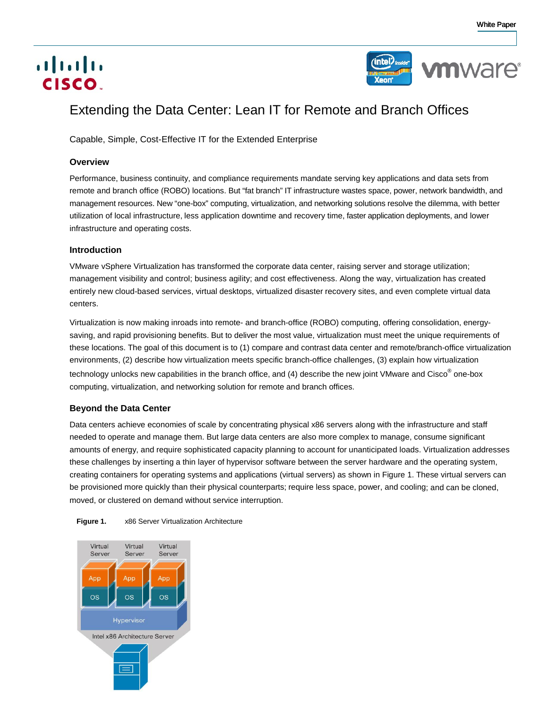# aludu CISCO.



# Extending the Data Center: Lean IT for Remote and Branch Offices

Capable, Simple, Cost-Effective IT for the Extended Enterprise

# **Overview**

Performance, business continuity, and compliance requirements mandate serving key applications and data sets from remote and branch office (ROBO) locations. But "fat branch" IT infrastructure wastes space, power, network bandwidth, and management resources. New "one-box" computing, virtualization, and networking solutions resolve the dilemma, with better utilization of local infrastructure, less application downtime and recovery time, faster application deployments, and lower infrastructure and operating costs.

# **Introduction**

VMware vSphere Virtualization has transformed the corporate data center, raising server and storage utilization; management visibility and control; business agility; and cost effectiveness. Along the way, virtualization has created entirely new cloud-based services, virtual desktops, virtualized disaster recovery sites, and even complete virtual data centers.

Virtualization is now making inroads into remote- and branch-office (ROBO) computing, offering consolidation, energysaving, and rapid provisioning benefits. But to deliver the most value, virtualization must meet the unique requirements of these locations. The goal of this document is to (1) compare and contrast data center and remote/branch-office virtualization environments, (2) describe how virtualization meets specific branch-office challenges, (3) explain how virtualization technology unlocks new capabilities in the branch office, and (4) describe the new joint VMware and Cisco® one-box computing, virtualization, and networking solution for remote and branch offices.

# **Beyond the Data Center**

Data centers achieve economies of scale by concentrating physical x86 servers along with the infrastructure and staff needed to operate and manage them. But large data centers are also more complex to manage, consume significant amounts of energy, and require sophisticated capacity planning to account for unanticipated loads. Virtualization addresses these challenges by inserting a thin layer of hypervisor software between the server hardware and the operating system, creating containers for operating systems and applications (virtual servers) as shown in Figure 1. These virtual servers can be provisioned more quickly than their physical counterparts; require less space, power, and cooling; and can be cloned, moved, or clustered on demand without service interruption.



**Figure 1.** x86 Server Virtualization Architecture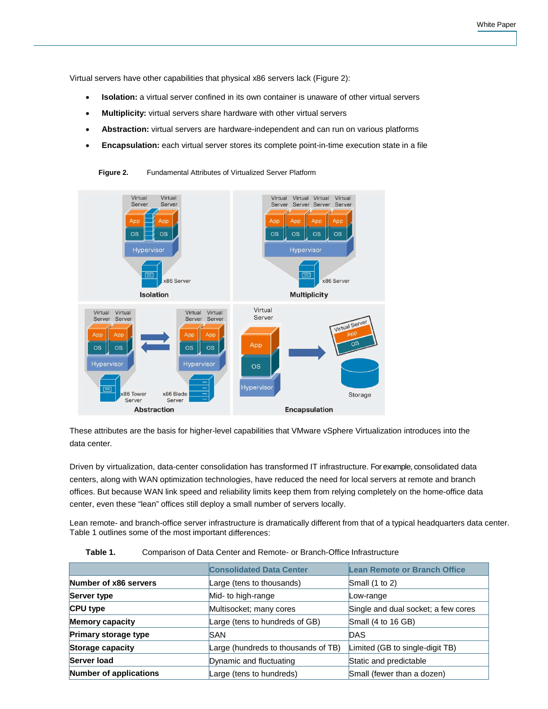Virtual servers have other capabilities that physical x86 servers lack (Figure 2):

- **Isolation:** a virtual server confined in its own container is unaware of other virtual servers
- **Multiplicity:** virtual servers share hardware with other virtual servers
- **Abstraction:** virtual servers are hardware-independent and can run on various platforms
- **Encapsulation:** each virtual server stores its complete point-in-time execution state in a file

**Figure 2.** Fundamental Attributes of Virtualized Server Platform



These attributes are the basis for higher-level capabilities that VMware vSphere Virtualization introduces into the data center.

Driven by virtualization, data-center consolidation has transformed IT infrastructure. For example, consolidated data centers, along with WAN optimization technologies, have reduced the need for local servers at remote and branch offices. But because WAN link speed and reliability limits keep them from relying completely on the home-office data center, even these "lean" offices still deploy a small number of servers locally.

Lean remote- and branch-office server infrastructure is dramatically different from that of a typical headquarters data center. Table 1 outlines some of the most important differences:

| Table 1. | Comparison of Data Center and Remote- or Branch-Office Infrastructure |
|----------|-----------------------------------------------------------------------|
|----------|-----------------------------------------------------------------------|

|                        | <b>Consolidated Data Center</b>     | <b>Lean Remote or Branch Office</b> |
|------------------------|-------------------------------------|-------------------------------------|
| Number of x86 servers  | Large (tens to thousands)           | Small $(1 to 2)$                    |
| Server type            | Mid- to high-range                  | Low-range                           |
| <b>CPU type</b>        | Multisocket; many cores             | Single and dual socket; a few cores |
| <b>Memory capacity</b> | Large (tens to hundreds of GB)      | Small (4 to 16 GB)                  |
| Primary storage type   | ISAN                                | <b>DAS</b>                          |
| Storage capacity       | Large (hundreds to thousands of TB) | Limited (GB to single-digit TB)     |
| Server load            | Dynamic and fluctuating             | Static and predictable              |
| Number of applications | Large (tens to hundreds)            | Small (fewer than a dozen)          |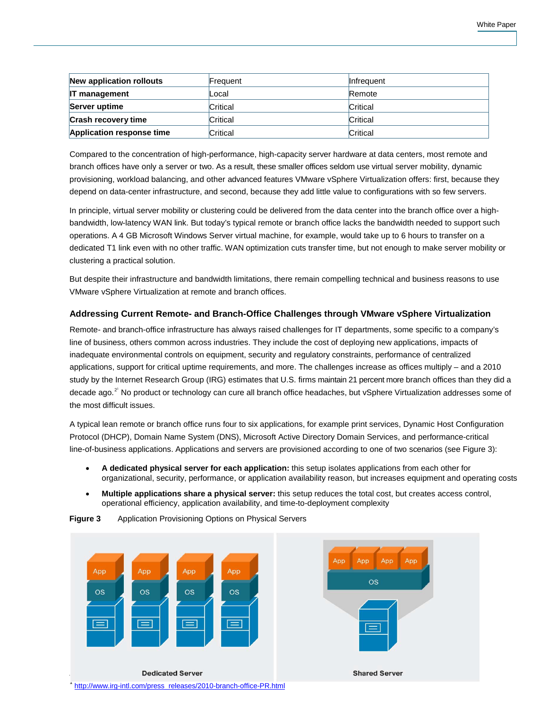| New application rollouts   | Frequent | <b>Infrequent</b> |
|----------------------------|----------|-------------------|
| <b>IT management</b>       | Local    | Remote            |
| Server uptime              | Critical | Critical          |
| <b>Crash recovery time</b> | Critical | Critical          |
| Application response time  | Critical | Critical          |

Compared to the concentration of high-performance, high-capacity server hardware at data centers, most remote and branch offices have only a server or two. As a result, these smaller offices seldom use virtual server mobility, dynamic provisioning, workload balancing, and other advanced features VMware vSphere Virtualization offers: first, because they depend on data-center infrastructure, and second, because they add little value to configurations with so few servers.

In principle, virtual server mobility or clustering could be delivered from the data center into the branch office over a highbandwidth, low-latency WAN link. But today's typical remote or branch office lacks the bandwidth needed to support such operations. A 4 GB Microsoft Windows Server virtual machine, for example, would take up to 6 hours to transfer on a dedicated T1 link even with no other traffic. WAN optimization cuts transfer time, but not enough to make server mobility or clustering a practical solution.

But despite their infrastructure and bandwidth limitations, there remain compelling technical and business reasons to use VMware vSphere Virtualization at remote and branch offices.

# **Addressing Current Remote- and Branch-Office Challenges through VMware vSphere Virtualization**

Remote- and branch-office infrastructure has always raised challenges for IT departments, some specific to a company's line of business, others common across industries. They include the cost of deploying new applications, impacts of inadequate environmental controls on equipment, security and regulatory constraints, performance of centralized applications, support for critical uptime requirements, and more. The challenges increase as offices multiply – and a 2010 study by the Internet Research Group (IRG) estimates that U.S. firms maintain 21 percent more branch offices than they did a decade ago.<sup>2'</sup> No product or technology can cure all branch office headaches, but vSphere Virtualization addresses some of the most difficult issues.

A typical lean remote or branch office runs four to six applications, for example print services, Dynamic Host Configuration Protocol (DHCP), Domain Name System (DNS), Microsoft Active Directory Domain Services, and performance-critical line-of-business applications. Applications and servers are provisioned according to one of two scenarios (see Figure 3):

- **A dedicated physical server for each application:** this setup isolates applications from each other for organizational, security, performance, or application availability reason, but increases equipment and operating costs
- **Multiple applications share a physical server:** this setup reduces the total cost, but creates access control, operational efficiency, application availability, and time-to-deployment complexity



**Figure 3** Application Provisioning Options on Physical Servers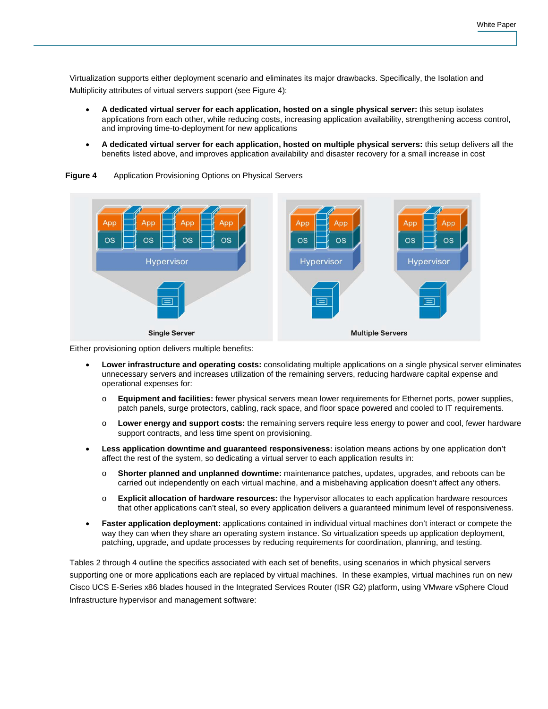Virtualization supports either deployment scenario and eliminates its major drawbacks. Specifically, the Isolation and Multiplicity attributes of virtual servers support (see Figure 4):

- **A dedicated virtual server for each application, hosted on a single physical server:** this setup isolates applications from each other, while reducing costs, increasing application availability, strengthening access control, and improving time-to-deployment for new applications
- **A dedicated virtual server for each application, hosted on multiple physical servers:** this setup delivers all the benefits listed above, and improves application availability and disaster recovery for a small increase in cost



**Figure 4** Application Provisioning Options on Physical Servers

Either provisioning option delivers multiple benefits:

- **Lower infrastructure and operating costs:** consolidating multiple applications on a single physical server eliminates unnecessary servers and increases utilization of the remaining servers, reducing hardware capital expense and operational expenses for:
	- o **Equipment and facilities:** fewer physical servers mean lower requirements for Ethernet ports, power supplies, patch panels, surge protectors, cabling, rack space, and floor space powered and cooled to IT requirements.
	- o **Lower energy and support costs:** the remaining servers require less energy to power and cool, fewer hardware support contracts, and less time spent on provisioning.
- **Less application downtime and guaranteed responsiveness:** isolation means actions by one application don't affect the rest of the system, so dedicating a virtual server to each application results in:
	- o **Shorter planned and unplanned downtime:** maintenance patches, updates, upgrades, and reboots can be carried out independently on each virtual machine, and a misbehaving application doesn't affect any others.
	- o **Explicit allocation of hardware resources:** the hypervisor allocates to each application hardware resources that other applications can't steal, so every application delivers a guaranteed minimum level of responsiveness.
- **Faster application deployment:** applications contained in individual virtual machines don't interact or compete the way they can when they share an operating system instance. So virtualization speeds up application deployment, patching, upgrade, and update processes by reducing requirements for coordination, planning, and testing.

Tables 2 through 4 outline the specifics associated with each set of benefits, using scenarios in which physical servers supporting one or more applications each are replaced by virtual machines. In these examples, virtual machines run on new Cisco UCS E-Series x86 blades housed in the Integrated Services Router (ISR G2) platform, using VMware vSphere Cloud Infrastructure hypervisor and management software: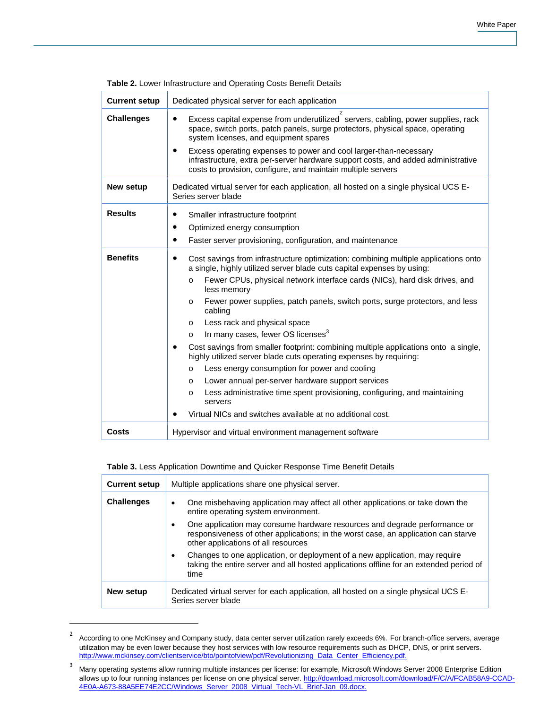| <b>Current setup</b> | Dedicated physical server for each application                                                                                                                                                                                                                                                                                                                                                                                                                                                                                                                                                                                                                                                                                                                                                                                                                                                                                                   |
|----------------------|--------------------------------------------------------------------------------------------------------------------------------------------------------------------------------------------------------------------------------------------------------------------------------------------------------------------------------------------------------------------------------------------------------------------------------------------------------------------------------------------------------------------------------------------------------------------------------------------------------------------------------------------------------------------------------------------------------------------------------------------------------------------------------------------------------------------------------------------------------------------------------------------------------------------------------------------------|
| <b>Challenges</b>    | $\overline{2}$<br>Excess capital expense from underutilized servers, cabling, power supplies, rack<br>space, switch ports, patch panels, surge protectors, physical space, operating<br>system licenses, and equipment spares<br>Excess operating expenses to power and cool larger-than-necessary<br>infrastructure, extra per-server hardware support costs, and added administrative<br>costs to provision, configure, and maintain multiple servers                                                                                                                                                                                                                                                                                                                                                                                                                                                                                          |
| <b>New setup</b>     | Dedicated virtual server for each application, all hosted on a single physical UCS E-<br>Series server blade                                                                                                                                                                                                                                                                                                                                                                                                                                                                                                                                                                                                                                                                                                                                                                                                                                     |
| <b>Results</b>       | Smaller infrastructure footprint<br>٠<br>Optimized energy consumption<br>$\bullet$<br>Faster server provisioning, configuration, and maintenance<br>٠                                                                                                                                                                                                                                                                                                                                                                                                                                                                                                                                                                                                                                                                                                                                                                                            |
| <b>Benefits</b>      | Cost savings from infrastructure optimization: combining multiple applications onto<br>٠<br>a single, highly utilized server blade cuts capital expenses by using:<br>Fewer CPUs, physical network interface cards (NICs), hard disk drives, and<br>$\circ$<br>less memory<br>Fewer power supplies, patch panels, switch ports, surge protectors, and less<br>$\Omega$<br>cabling<br>Less rack and physical space<br>O<br>In many cases, fewer OS licenses <sup>3</sup><br>$\Omega$<br>Cost savings from smaller footprint: combining multiple applications onto a single,<br>highly utilized server blade cuts operating expenses by requiring:<br>Less energy consumption for power and cooling<br>$\Omega$<br>Lower annual per-server hardware support services<br>$\Omega$<br>Less administrative time spent provisioning, configuring, and maintaining<br>$\Omega$<br>servers<br>Virtual NICs and switches available at no additional cost. |
| Costs                | Hypervisor and virtual environment management software                                                                                                                                                                                                                                                                                                                                                                                                                                                                                                                                                                                                                                                                                                                                                                                                                                                                                           |

#### **Table 3.** Less Application Downtime and Quicker Response Time Benefit Details

 $\overline{a}$ 

| <b>Current setup</b> | Multiple applications share one physical server.                                                                                                                                                                                                                                                                                           |
|----------------------|--------------------------------------------------------------------------------------------------------------------------------------------------------------------------------------------------------------------------------------------------------------------------------------------------------------------------------------------|
| <b>Challenges</b>    | One misbehaving application may affect all other applications or take down the<br>٠<br>entire operating system environment.<br>One application may consume hardware resources and degrade performance or<br>٠<br>responsiveness of other applications; in the worst case, an application can starve<br>other applications of all resources |
|                      | Changes to one application, or deployment of a new application, may require<br>٠<br>taking the entire server and all hosted applications offline for an extended period of<br>time                                                                                                                                                         |
| New setup            | Dedicated virtual server for each application, all hosted on a single physical UCS E-<br>Series server blade                                                                                                                                                                                                                               |

<sup>&</sup>lt;sup>2</sup> According to one McKinsey and Company study, data center server utilization rarely exceeds 6%. For branch-office servers, average utilization may be even lower because they host services with low resource requirements such as DHCP, DNS, or print servers. [http://www.mckinsey.com/clientservice/bto/pointofview/pdf/Revolutionizing\\_Data\\_Center\\_Efficiency.pdf.](http://www.mckinsey.com/clientservice/bto/pointofview/pdf/Revolutionizing_Data_Center_Efficiency.pdf)

<sup>&</sup>lt;sup>3</sup> Many operating systems allow running multiple instances per license: for example, Microsoft Windows Server 2008 Enterprise Edition allows up to four running instances per license on one physical server[. http://download.microsoft.com/download/F/C/A/FCAB58A9-CCAD-](http://download.microsoft.com/download/F/C/A/FCAB58A9-CCAD-4E0A-A673-88A5EE74E2CC/Windows_Server_2008_Virtual_Tech-VL_Brief-Jan_09.docx)[4E0A-A673-88A5EE74E2CC/Windows\\_Server\\_2008\\_Virtual\\_Tech-VL\\_Brief-Jan\\_09.docx.](http://download.microsoft.com/download/F/C/A/FCAB58A9-CCAD-4E0A-A673-88A5EE74E2CC/Windows_Server_2008_Virtual_Tech-VL_Brief-Jan_09.docx)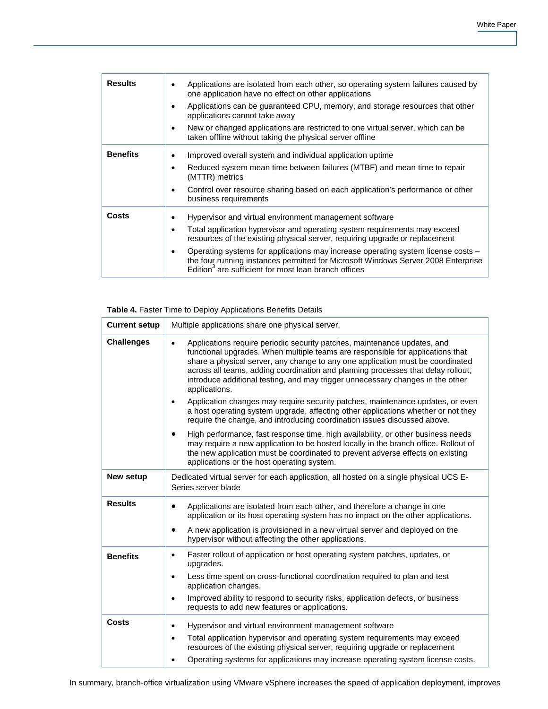| <b>Results</b>  | Applications are isolated from each other, so operating system failures caused by<br>one application have no effect on other applications<br>Applications can be guaranteed CPU, memory, and storage resources that other<br>applications cannot take away<br>New or changed applications are restricted to one virtual server, which can be<br>٠<br>taken offline without taking the physical server offline                                                        |
|-----------------|----------------------------------------------------------------------------------------------------------------------------------------------------------------------------------------------------------------------------------------------------------------------------------------------------------------------------------------------------------------------------------------------------------------------------------------------------------------------|
| <b>Benefits</b> | Improved overall system and individual application uptime<br>٠<br>Reduced system mean time between failures (MTBF) and mean time to repair<br>٠<br>(MTTR) metrics<br>Control over resource sharing based on each application's performance or other<br>$\bullet$<br>business requirements                                                                                                                                                                            |
| Costs           | Hypervisor and virtual environment management software<br>Total application hypervisor and operating system requirements may exceed<br>٠<br>resources of the existing physical server, requiring upgrade or replacement<br>Operating systems for applications may increase operating system license costs –<br>the four running instances permitted for Microsoft Windows Server 2008 Enterprise<br>Edition <sup>3</sup> are sufficient for most lean branch offices |

# **Table 4.** Faster Time to Deploy Applications Benefits Details

| <b>Current setup</b> | Multiple applications share one physical server.                                                                                                                                                                                                                                                                                                                                                                                                 |
|----------------------|--------------------------------------------------------------------------------------------------------------------------------------------------------------------------------------------------------------------------------------------------------------------------------------------------------------------------------------------------------------------------------------------------------------------------------------------------|
| <b>Challenges</b>    | Applications require periodic security patches, maintenance updates, and<br>$\bullet$<br>functional upgrades. When multiple teams are responsible for applications that<br>share a physical server, any change to any one application must be coordinated<br>across all teams, adding coordination and planning processes that delay rollout,<br>introduce additional testing, and may trigger unnecessary changes in the other<br>applications. |
|                      | Application changes may require security patches, maintenance updates, or even<br>$\bullet$<br>a host operating system upgrade, affecting other applications whether or not they<br>require the change, and introducing coordination issues discussed above.                                                                                                                                                                                     |
|                      | High performance, fast response time, high availability, or other business needs<br>$\bullet$<br>may require a new application to be hosted locally in the branch office. Rollout of<br>the new application must be coordinated to prevent adverse effects on existing<br>applications or the host operating system.                                                                                                                             |
| New setup            | Dedicated virtual server for each application, all hosted on a single physical UCS E-<br>Series server blade                                                                                                                                                                                                                                                                                                                                     |
| <b>Results</b>       | Applications are isolated from each other, and therefore a change in one<br>$\bullet$<br>application or its host operating system has no impact on the other applications.                                                                                                                                                                                                                                                                       |
|                      | A new application is provisioned in a new virtual server and deployed on the<br>hypervisor without affecting the other applications.                                                                                                                                                                                                                                                                                                             |
| <b>Benefits</b>      | Faster rollout of application or host operating system patches, updates, or<br>$\bullet$<br>upgrades.                                                                                                                                                                                                                                                                                                                                            |
|                      | Less time spent on cross-functional coordination required to plan and test<br>$\bullet$<br>application changes.                                                                                                                                                                                                                                                                                                                                  |
|                      | Improved ability to respond to security risks, application defects, or business<br>$\bullet$<br>requests to add new features or applications.                                                                                                                                                                                                                                                                                                    |
| Costs                | Hypervisor and virtual environment management software<br>٠                                                                                                                                                                                                                                                                                                                                                                                      |
|                      | Total application hypervisor and operating system requirements may exceed<br>$\bullet$<br>resources of the existing physical server, requiring upgrade or replacement                                                                                                                                                                                                                                                                            |
|                      | Operating systems for applications may increase operating system license costs.<br>$\bullet$                                                                                                                                                                                                                                                                                                                                                     |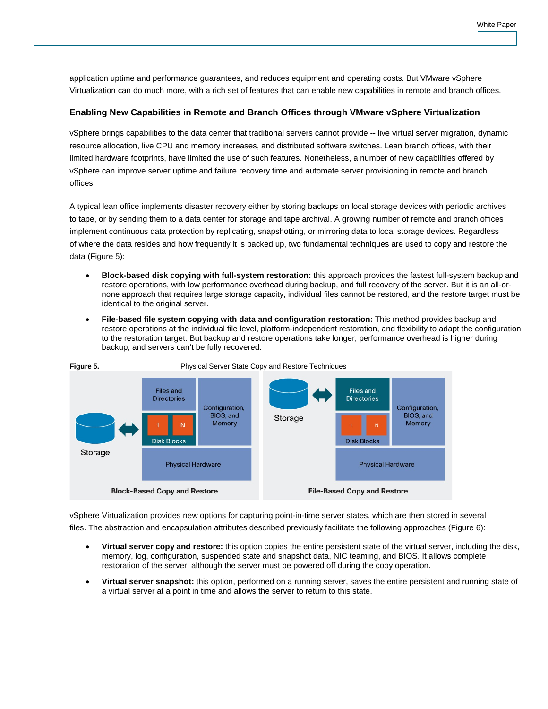application uptime and performance guarantees, and reduces equipment and operating costs. But VMware vSphere Virtualization can do much more, with a rich set of features that can enable new capabilities in remote and branch offices.

#### **Enabling New Capabilities in Remote and Branch Offices through VMware vSphere Virtualization**

vSphere brings capabilities to the data center that traditional servers cannot provide -- live virtual server migration, dynamic resource allocation, live CPU and memory increases, and distributed software switches. Lean branch offices, with their limited hardware footprints, have limited the use of such features. Nonetheless, a number of new capabilities offered by vSphere can improve server uptime and failure recovery time and automate server provisioning in remote and branch offices.

A typical lean office implements disaster recovery either by storing backups on local storage devices with periodic archives to tape, or by sending them to a data center for storage and tape archival. A growing number of remote and branch offices implement continuous data protection by replicating, snapshotting, or mirroring data to local storage devices. Regardless of where the data resides and how frequently it is backed up, two fundamental techniques are used to copy and restore the data (Figure 5):

- **Block-based disk copying with full-system restoration:** this approach provides the fastest full-system backup and restore operations, with low performance overhead during backup, and full recovery of the server. But it is an all-ornone approach that requires large storage capacity, individual files cannot be restored, and the restore target must be identical to the original server.
- **File-based file system copying with data and configuration restoration:** This method provides backup and restore operations at the individual file level, platform-independent restoration, and flexibility to adapt the configuration to the restoration target. But backup and restore operations take longer, performance overhead is higher during backup, and servers can't be fully recovered.



vSphere Virtualization provides new options for capturing point-in-time server states, which are then stored in several files. The abstraction and encapsulation attributes described previously facilitate the following approaches (Figure 6):

- **Virtual server copy and restore:** this option copies the entire persistent state of the virtual server, including the disk, memory, log, configuration, suspended state and snapshot data, NIC teaming, and BIOS. It allows complete restoration of the server, although the server must be powered off during the copy operation.
- **Virtual server snapshot:** this option, performed on a running server, saves the entire persistent and running state of a virtual server at a point in time and allows the server to return to this state.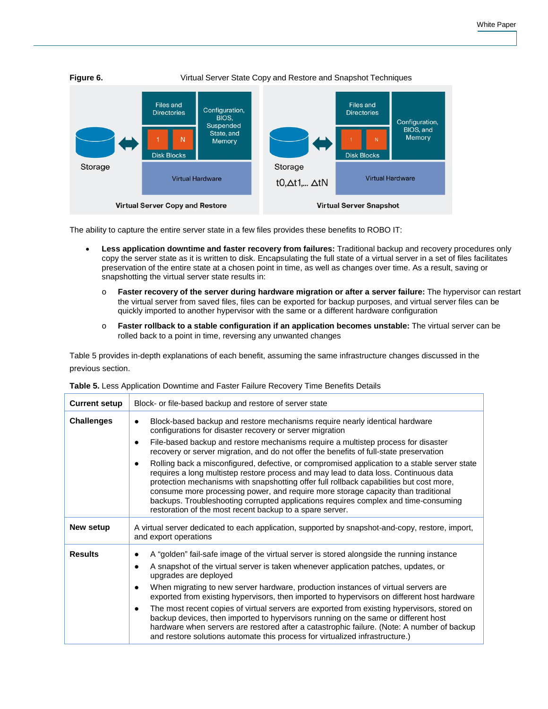

The ability to capture the entire server state in a few files provides these benefits to ROBO IT:

- **Less application downtime and faster recovery from failures:** Traditional backup and recovery procedures only copy the server state as it is written to disk. Encapsulating the full state of a virtual server in a set of files facilitates preservation of the entire state at a chosen point in time, as well as changes over time. As a result, saving or snapshotting the virtual server state results in:
	- o **Faster recovery of the server during hardware migration or after a server failure:** The hypervisor can restart the virtual server from saved files, files can be exported for backup purposes, and virtual server files can be quickly imported to another hypervisor with the same or a different hardware configuration
	- o **Faster rollback to a stable configuration if an application becomes unstable:** The virtual server can be rolled back to a point in time, reversing any unwanted changes

Table 5 provides in-depth explanations of each benefit, assuming the same infrastructure changes discussed in the previous section.

| <b>Current setup</b> | Block- or file-based backup and restore of server state                                                                                                                                                                                                                                                                                                                                                                                                                                                                                                                                                                                                                                                                                                           |
|----------------------|-------------------------------------------------------------------------------------------------------------------------------------------------------------------------------------------------------------------------------------------------------------------------------------------------------------------------------------------------------------------------------------------------------------------------------------------------------------------------------------------------------------------------------------------------------------------------------------------------------------------------------------------------------------------------------------------------------------------------------------------------------------------|
| <b>Challenges</b>    | Block-based backup and restore mechanisms require nearly identical hardware<br>$\bullet$<br>configurations for disaster recovery or server migration<br>File-based backup and restore mechanisms require a multistep process for disaster<br>recovery or server migration, and do not offer the benefits of full-state preservation                                                                                                                                                                                                                                                                                                                                                                                                                               |
|                      | Rolling back a misconfigured, defective, or compromised application to a stable server state<br>requires a long multistep restore process and may lead to data loss. Continuous data<br>protection mechanisms with snapshotting offer full rollback capabilities but cost more,<br>consume more processing power, and require more storage capacity than traditional<br>backups. Troubleshooting corrupted applications requires complex and time-consuming<br>restoration of the most recent backup to a spare server.                                                                                                                                                                                                                                           |
| New setup            | A virtual server dedicated to each application, supported by snapshot-and-copy, restore, import,<br>and export operations                                                                                                                                                                                                                                                                                                                                                                                                                                                                                                                                                                                                                                         |
| <b>Results</b>       | A "golden" fail-safe image of the virtual server is stored alongside the running instance<br>A snapshot of the virtual server is taken whenever application patches, updates, or<br>upgrades are deployed<br>When migrating to new server hardware, production instances of virtual servers are<br>exported from existing hypervisors, then imported to hypervisors on different host hardware<br>The most recent copies of virtual servers are exported from existing hypervisors, stored on<br>backup devices, then imported to hypervisors running on the same or different host<br>hardware when servers are restored after a catastrophic failure. (Note: A number of backup<br>and restore solutions automate this process for virtualized infrastructure.) |

**Table 5.** Less Application Downtime and Faster Failure Recovery Time Benefits Details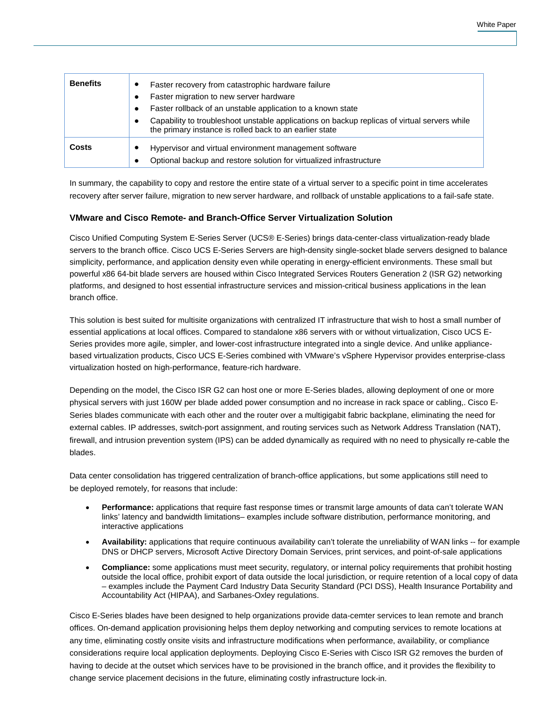| <b>Benefits</b> | Faster recovery from catastrophic hardware failure<br>Faster migration to new server hardware<br>Faster rollback of an unstable application to a known state<br>Capability to troubleshoot unstable applications on backup replicas of virtual servers while<br>the primary instance is rolled back to an earlier state |
|-----------------|-------------------------------------------------------------------------------------------------------------------------------------------------------------------------------------------------------------------------------------------------------------------------------------------------------------------------|
| Costs           | Hypervisor and virtual environment management software<br>Optional backup and restore solution for virtualized infrastructure                                                                                                                                                                                           |

In summary, the capability to copy and restore the entire state of a virtual server to a specific point in time accelerates recovery after server failure, migration to new server hardware, and rollback of unstable applications to a fail-safe state.

# **VMware and Cisco Remote- and Branch-Office Server Virtualization Solution**

Cisco Unified Computing System E-Series Server (UCS® E-Series) brings data-center-class virtualization-ready blade servers to the branch office. Cisco UCS E-Series Servers are high-density single-socket blade servers designed to balance simplicity, performance, and application density even while operating in energy-efficient environments. These small but powerful x86 64-bit blade servers are housed within Cisco Integrated Services Routers Generation 2 (ISR G2) networking platforms, and designed to host essential infrastructure services and mission-critical business applications in the lean branch office.

This solution is best suited for multisite organizations with centralized IT infrastructure that wish to host a small number of essential applications at local offices. Compared to standalone x86 servers with or without virtualization, Cisco UCS E-Series provides more agile, simpler, and lower-cost infrastructure integrated into a single device. And unlike appliancebased virtualization products, Cisco UCS E-Series combined with VMware's vSphere Hypervisor provides enterprise-class virtualization hosted on high-performance, feature-rich hardware.

Depending on the model, the Cisco ISR G2 can host one or more E-Series blades, allowing deployment of one or more physical servers with just 160W per blade added power consumption and no increase in rack space or cabling,. Cisco E-Series blades communicate with each other and the router over a multigigabit fabric backplane, eliminating the need for external cables. IP addresses, switch-port assignment, and routing services such as Network Address Translation (NAT), firewall, and intrusion prevention system (IPS) can be added dynamically as required with no need to physically re-cable the blades.

Data center consolidation has triggered centralization of branch-office applications, but some applications still need to be deployed remotely, for reasons that include:

- **Performance:** applications that require fast response times or transmit large amounts of data can't tolerate WAN links' latency and bandwidth limitations– examples include software distribution, performance monitoring, and interactive applications
- **Availability:** applications that require continuous availability can't tolerate the unreliability of WAN links -- for example DNS or DHCP servers, Microsoft Active Directory Domain Services, print services, and point-of-sale applications
- **Compliance:** some applications must meet security, regulatory, or internal policy requirements that prohibit hosting outside the local office, prohibit export of data outside the local jurisdiction, or require retention of a local copy of data – examples include the Payment Card Industry Data Security Standard (PCI DSS), Health Insurance Portability and Accountability Act (HIPAA), and Sarbanes-Oxley regulations.

Cisco E-Series blades have been designed to help organizations provide data-cemter services to lean remote and branch offices. On-demand application provisioning helps them deploy networking and computing services to remote locations at any time, eliminating costly onsite visits and infrastructure modifications when performance, availability, or compliance considerations require local application deployments. Deploying Cisco E-Series with Cisco ISR G2 removes the burden of having to decide at the outset which services have to be provisioned in the branch office, and it provides the flexibility to change service placement decisions in the future, eliminating costly infrastructure lock-in.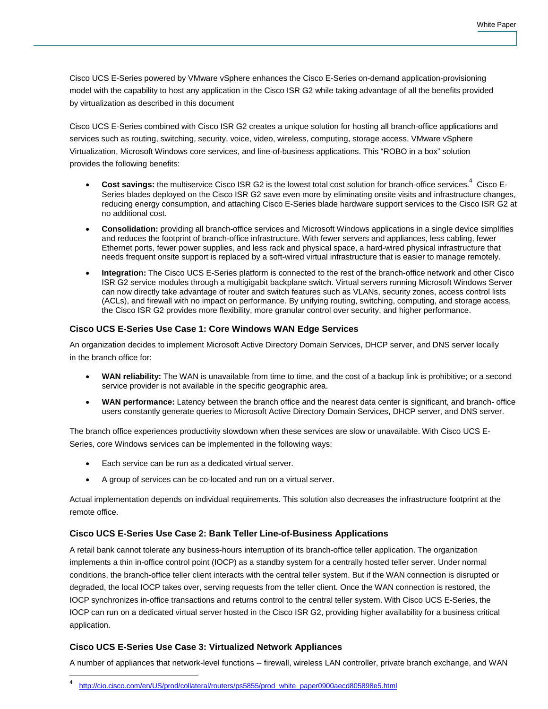Cisco UCS E-Series powered by VMware vSphere enhances the Cisco E-Series on-demand application-provisioning model with the capability to host any application in the Cisco ISR G2 while taking advantage of all the benefits provided by virtualization as described in this document

Cisco UCS E-Series combined with Cisco ISR G2 creates a unique solution for hosting all branch-office applications and services such as routing, switching, security, voice, video, wireless, computing, storage access, VMware vSphere Virtualization, Microsoft Windows core services, and line-of-business applications. This "ROBO in a box" solution provides the following benefits:

- Cost savings: the multiservice Cisco ISR G2 is the lowest total cost solution for branch-office services.<sup>4</sup> Cisco E-Series blades deployed on the Cisco ISR G2 save even more by eliminating onsite visits and infrastructure changes, reducing energy consumption, and attaching Cisco E-Series blade hardware support services to the Cisco ISR G2 at no additional cost.
- **Consolidation:** providing all branch-office services and Microsoft Windows applications in a single device simplifies and reduces the footprint of branch-office infrastructure. With fewer servers and appliances, less cabling, fewer Ethernet ports, fewer power supplies, and less rack and physical space, a hard-wired physical infrastructure that needs frequent onsite support is replaced by a soft-wired virtual infrastructure that is easier to manage remotely.
- **Integration:** The Cisco UCS E-Series platform is connected to the rest of the branch-office network and other Cisco ISR G2 service modules through a multigigabit backplane switch. Virtual servers running Microsoft Windows Server can now directly take advantage of router and switch features such as VLANs, security zones, access control lists (ACLs), and firewall with no impact on performance. By unifying routing, switching, computing, and storage access, the Cisco ISR G2 provides more flexibility, more granular control over security, and higher performance.

# **Cisco UCS E-Series Use Case 1: Core Windows WAN Edge Services**

An organization decides to implement Microsoft Active Directory Domain Services, DHCP server, and DNS server locally in the branch office for:

- **WAN reliability:** The WAN is unavailable from time to time, and the cost of a backup link is prohibitive; or a second service provider is not available in the specific geographic area.
- **WAN performance:** Latency between the branch office and the nearest data center is significant, and branch- office users constantly generate queries to Microsoft Active Directory Domain Services, DHCP server, and DNS server.

The branch office experiences productivity slowdown when these services are slow or unavailable. With Cisco UCS E-Series, core Windows services can be implemented in the following ways:

- Each service can be run as a dedicated virtual server.
- A group of services can be co-located and run on a virtual server.

Actual implementation depends on individual requirements. This solution also decreases the infrastructure footprint at the remote office.

# **Cisco UCS E-Series Use Case 2: Bank Teller Line-of-Business Applications**

A retail bank cannot tolerate any business-hours interruption of its branch-office teller application. The organization implements a thin in-office control point (IOCP) as a standby system for a centrally hosted teller server. Under normal conditions, the branch-office teller client interacts with the central teller system. But if the WAN connection is disrupted or degraded, the local IOCP takes over, serving requests from the teller client. Once the WAN connection is restored, the IOCP synchronizes in-office transactions and returns control to the central teller system. With Cisco UCS E-Series, the IOCP can run on a dedicated virtual server hosted in the Cisco ISR G2, providing higher availability for a business critical application.

# **Cisco UCS E-Series Use Case 3: Virtualized Network Appliances**

A number of appliances that network-level functions -- firewall, wireless LAN controller, private branch exchange, and WAN

 <sup>4</sup> [http://cio.cisco.com/en/US/prod/collateral/routers/ps5855/prod\\_white\\_paper0900aecd805898e5.html](http://cio.cisco.com/en/US/prod/collateral/routers/ps5855/prod_white_paper0900aecd805898e5.html)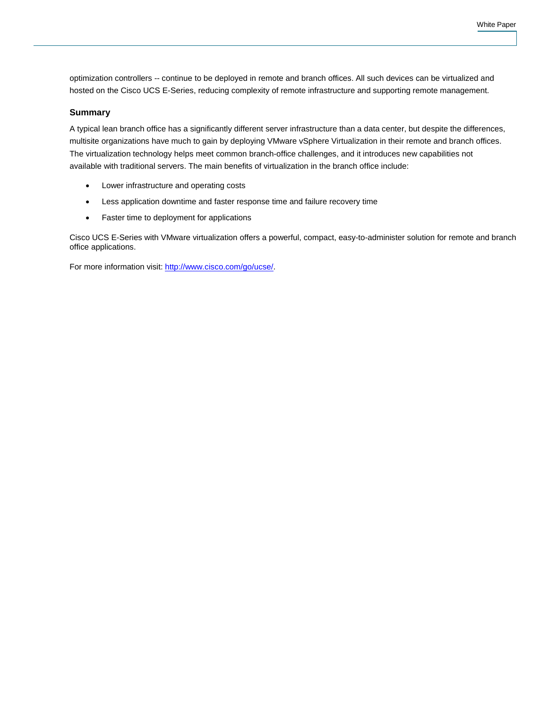optimization controllers -- continue to be deployed in remote and branch offices. All such devices can be virtualized and hosted on the Cisco UCS E-Series, reducing complexity of remote infrastructure and supporting remote management.

#### **Summary**

A typical lean branch office has a significantly different server infrastructure than a data center, but despite the differences, multisite organizations have much to gain by deploying VMware vSphere Virtualization in their remote and branch offices. The virtualization technology helps meet common branch-office challenges, and it introduces new capabilities not available with traditional servers. The main benefits of virtualization in the branch office include:

- Lower infrastructure and operating costs
- Less application downtime and faster response time and failure recovery time
- Faster time to deployment for applications

Cisco UCS E-Series with VMware virtualization offers a powerful, compact, easy-to-administer solution for remote and branch office applications.

For more information visit: [http://www.cisco.com/go/ucse/.](http://www.cisco.com/go/ucse/)